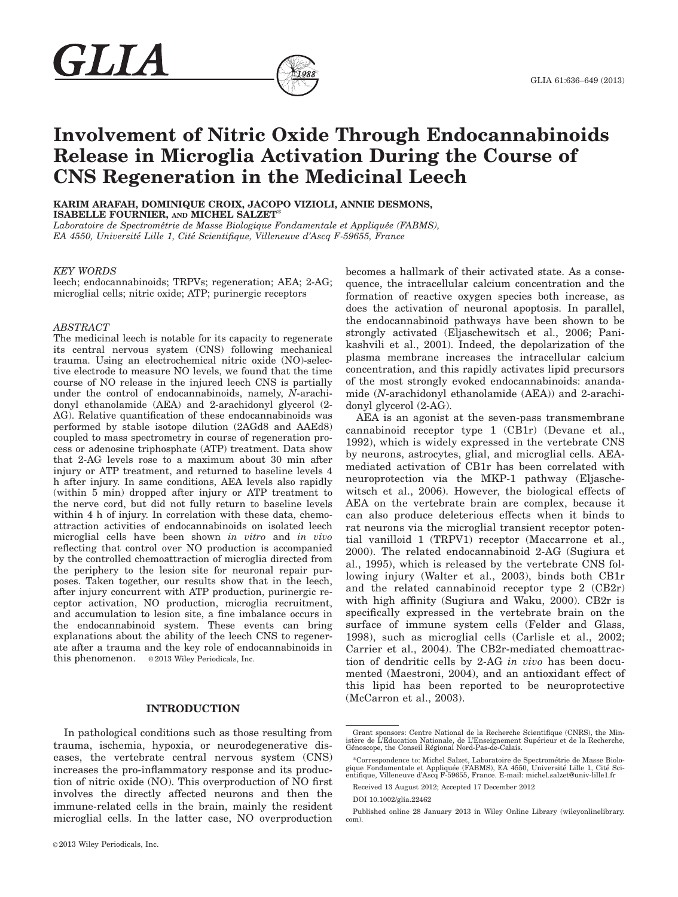# Involvement of Nitric Oxide Through Endocannabinoids Release in Microglia Activation During the Course of CNS Regeneration in the Medicinal Leech

KARIM ARAFAH, DOMINIQUE CROIX, JACOPO VIZIOLI, ANNIE DESMONS, ISABELLE FOURNIER, AND MICHEL SALZET\*

Laboratoire de Spectrométrie de Masse Biologique Fondamentale et Appliquée (FABMS), EA 4550, Universite Lille 1, Cite Scientifique, Villeneuve d'Ascq F-59655, France

#### KEY WORDS

GLIA

leech; endocannabinoids; TRPVs; regeneration; AEA; 2-AG; microglial cells; nitric oxide; ATP; purinergic receptors

## ABSTRACT

The medicinal leech is notable for its capacity to regenerate its central nervous system (CNS) following mechanical trauma. Using an electrochemical nitric oxide (NO)-selective electrode to measure NO levels, we found that the time course of NO release in the injured leech CNS is partially under the control of endocannabinoids, namely, N-arachidonyl ethanolamide (AEA) and 2-arachidonyl glycerol (2- AG). Relative quantification of these endocannabinoids was performed by stable isotope dilution (2AGd8 and AAEd8) coupled to mass spectrometry in course of regeneration process or adenosine triphosphate (ATP) treatment. Data show that 2-AG levels rose to a maximum about 30 min after injury or ATP treatment, and returned to baseline levels 4 h after injury. In same conditions, AEA levels also rapidly (within 5 min) dropped after injury or ATP treatment to the nerve cord, but did not fully return to baseline levels within 4 h of injury. In correlation with these data, chemoattraction activities of endocannabinoids on isolated leech microglial cells have been shown in vitro and in vivo reflecting that control over NO production is accompanied by the controlled chemoattraction of microglia directed from the periphery to the lesion site for neuronal repair purposes. Taken together, our results show that in the leech, after injury concurrent with ATP production, purinergic receptor activation, NO production, microglia recruitment, and accumulation to lesion site, a fine imbalance occurs in the endocannabinoid system. These events can bring explanations about the ability of the leech CNS to regenerate after a trauma and the key role of endocannabinoids in this phenomenon.  $\circ$  2013 Wiley Periodicals, Inc.

# INTRODUCTION

In pathological conditions such as those resulting from trauma, ischemia, hypoxia, or neurodegenerative diseases, the vertebrate central nervous system (CNS) increases the pro-inflammatory response and its production of nitric oxide (NO). This overproduction of NO first involves the directly affected neurons and then the immune-related cells in the brain, mainly the resident microglial cells. In the latter case, NO overproduction becomes a hallmark of their activated state. As a consequence, the intracellular calcium concentration and the formation of reactive oxygen species both increase, as does the activation of neuronal apoptosis. In parallel, the endocannabinoid pathways have been shown to be strongly activated (Eljaschewitsch et al., 2006; Panikashvili et al., 2001). Indeed, the depolarization of the plasma membrane increases the intracellular calcium concentration, and this rapidly activates lipid precursors of the most strongly evoked endocannabinoids: anandamide (N-arachidonyl ethanolamide (AEA)) and 2-arachidonyl glycerol (2-AG).

AEA is an agonist at the seven-pass transmembrane cannabinoid receptor type 1 (CB1r) (Devane et al., 1992), which is widely expressed in the vertebrate CNS by neurons, astrocytes, glial, and microglial cells. AEAmediated activation of CB1r has been correlated with neuroprotection via the MKP-1 pathway (Eljaschewitsch et al., 2006). However, the biological effects of AEA on the vertebrate brain are complex, because it can also produce deleterious effects when it binds to rat neurons via the microglial transient receptor potential vanilloid 1 (TRPV1) receptor (Maccarrone et al., 2000). The related endocannabinoid 2-AG (Sugiura et al., 1995), which is released by the vertebrate CNS following injury (Walter et al., 2003), binds both CB1r and the related cannabinoid receptor type 2 (CB2r) with high affinity (Sugiura and Waku, 2000). CB2r is specifically expressed in the vertebrate brain on the surface of immune system cells (Felder and Glass, 1998), such as microglial cells (Carlisle et al., 2002; Carrier et al., 2004). The CB2r-mediated chemoattraction of dendritic cells by 2-AG in vivo has been documented (Maestroni, 2004), and an antioxidant effect of this lipid has been reported to be neuroprotective (McCarron et al., 2003).

DOI 10.1002/glia.22462



Grant sponsors: Centre National de la Recherche Scientifique (CNRS), the Ministère de L'Education Nationale, de L'Enseignement Supérieur et de la Recherche, Genoscope, the Conseil Regional Nord-Pas-de-Calais.

<sup>\*</sup>Correspondence to: Michel Salzet, Laboratoire de Spectrometrie de Masse Biolo-gique Fondamentale et Appliquee (FABMS), EA 4550, Universite Lille 1, Cite Scientifique, Villeneuve d'Ascq F-59655, France. E-mail: michel.salzet@univ-lille1.fr

Received 13 August 2012; Accepted 17 December 2012

Published online 28 January 2013 in Wiley Online Library (wileyonlinelibrary. com).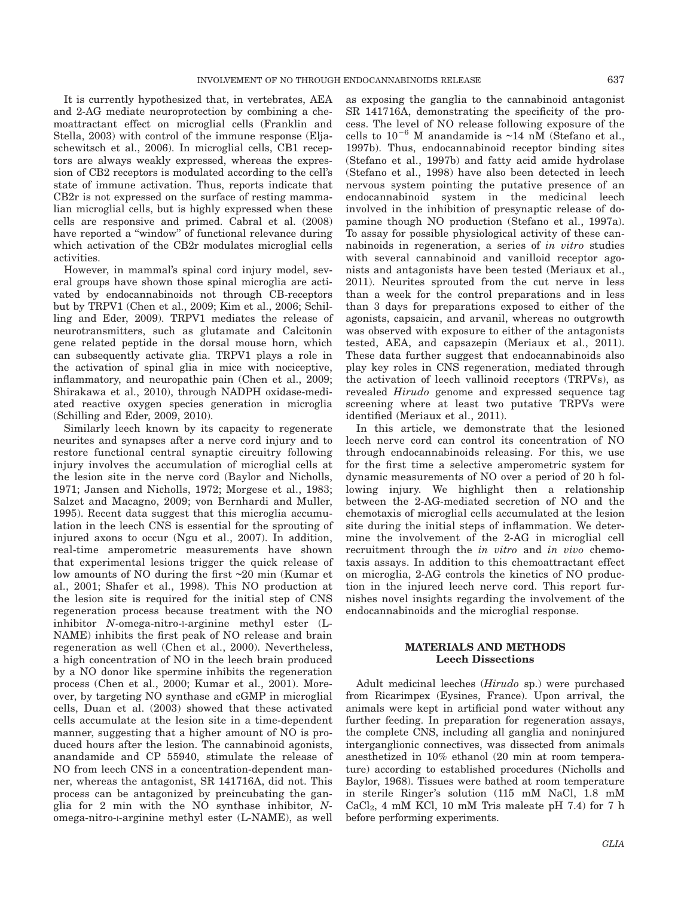It is currently hypothesized that, in vertebrates, AEA and 2-AG mediate neuroprotection by combining a chemoattractant effect on microglial cells (Franklin and Stella, 2003) with control of the immune response (Eljaschewitsch et al., 2006). In microglial cells, CB1 receptors are always weakly expressed, whereas the expression of CB2 receptors is modulated according to the cell's state of immune activation. Thus, reports indicate that CB2r is not expressed on the surface of resting mammalian microglial cells, but is highly expressed when these cells are responsive and primed. Cabral et al. (2008) have reported a ''window'' of functional relevance during which activation of the CB2r modulates microglial cells activities.

However, in mammal's spinal cord injury model, several groups have shown those spinal microglia are activated by endocannabinoids not through CB-receptors but by TRPV1 (Chen et al., 2009; Kim et al., 2006; Schilling and Eder, 2009). TRPV1 mediates the release of neurotransmitters, such as glutamate and Calcitonin gene related peptide in the dorsal mouse horn, which can subsequently activate glia. TRPV1 plays a role in the activation of spinal glia in mice with nociceptive, inflammatory, and neuropathic pain (Chen et al., 2009; Shirakawa et al., 2010), through NADPH oxidase-mediated reactive oxygen species generation in microglia (Schilling and Eder, 2009, 2010).

Similarly leech known by its capacity to regenerate neurites and synapses after a nerve cord injury and to restore functional central synaptic circuitry following injury involves the accumulation of microglial cells at the lesion site in the nerve cord (Baylor and Nicholls, 1971; Jansen and Nicholls, 1972; Morgese et al., 1983; Salzet and Macagno, 2009; von Bernhardi and Muller, 1995). Recent data suggest that this microglia accumulation in the leech CNS is essential for the sprouting of injured axons to occur (Ngu et al., 2007). In addition, real-time amperometric measurements have shown that experimental lesions trigger the quick release of low amounts of NO during the first ~20 min (Kumar et al., 2001; Shafer et al., 1998). This NO production at the lesion site is required for the initial step of CNS regeneration process because treatment with the NO inhibitor N-omega-nitro-l-arginine methyl ester (L-NAME) inhibits the first peak of NO release and brain regeneration as well (Chen et al., 2000). Nevertheless, a high concentration of NO in the leech brain produced by a NO donor like spermine inhibits the regeneration process (Chen et al., 2000; Kumar et al., 2001). Moreover, by targeting NO synthase and cGMP in microglial cells, Duan et al. (2003) showed that these activated cells accumulate at the lesion site in a time-dependent manner, suggesting that a higher amount of NO is produced hours after the lesion. The cannabinoid agonists, anandamide and CP 55940, stimulate the release of NO from leech CNS in a concentration-dependent manner, whereas the antagonist, SR 141716A, did not. This process can be antagonized by preincubating the ganglia for  $2$  min with the NO synthase inhibitor,  $N$ omega-nitro-l-arginine methyl ester (L-NAME), as well

as exposing the ganglia to the cannabinoid antagonist SR 141716A, demonstrating the specificity of the process. The level of NO release following exposure of the cells to  $10^{-6}$  M anandamide is  $\sim$ 14 nM (Stefano et al., 1997b). Thus, endocannabinoid receptor binding sites (Stefano et al., 1997b) and fatty acid amide hydrolase (Stefano et al., 1998) have also been detected in leech nervous system pointing the putative presence of an endocannabinoid system in the medicinal leech involved in the inhibition of presynaptic release of dopamine though NO production (Stefano et al., 1997a). To assay for possible physiological activity of these cannabinoids in regeneration, a series of in vitro studies with several cannabinoid and vanilloid receptor agonists and antagonists have been tested (Meriaux et al., 2011). Neurites sprouted from the cut nerve in less than a week for the control preparations and in less than 3 days for preparations exposed to either of the agonists, capsaicin, and arvanil, whereas no outgrowth was observed with exposure to either of the antagonists tested, AEA, and capsazepin (Meriaux et al., 2011). These data further suggest that endocannabinoids also play key roles in CNS regeneration, mediated through the activation of leech vallinoid receptors (TRPVs), as revealed Hirudo genome and expressed sequence tag screening where at least two putative TRPVs were identified (Meriaux et al., 2011).

In this article, we demonstrate that the lesioned leech nerve cord can control its concentration of NO through endocannabinoids releasing. For this, we use for the first time a selective amperometric system for dynamic measurements of NO over a period of 20 h following injury. We highlight then a relationship between the 2-AG-mediated secretion of NO and the chemotaxis of microglial cells accumulated at the lesion site during the initial steps of inflammation. We determine the involvement of the 2-AG in microglial cell recruitment through the *in vitro* and *in vivo* chemotaxis assays. In addition to this chemoattractant effect on microglia, 2-AG controls the kinetics of NO production in the injured leech nerve cord. This report furnishes novel insights regarding the involvement of the endocannabinoids and the microglial response.

## MATERIALS AND METHODS Leech Dissections

Adult medicinal leeches (Hirudo sp.) were purchased from Ricarimpex (Eysines, France). Upon arrival, the animals were kept in artificial pond water without any further feeding. In preparation for regeneration assays, the complete CNS, including all ganglia and noninjured interganglionic connectives, was dissected from animals anesthetized in 10% ethanol (20 min at room temperature) according to established procedures (Nicholls and Baylor, 1968). Tissues were bathed at room temperature in sterile Ringer's solution (115 mM NaCl, 1.8 mM  $CaCl<sub>2</sub>$ , 4 mM KCl, 10 mM Tris maleate pH 7.4) for 7 h before performing experiments.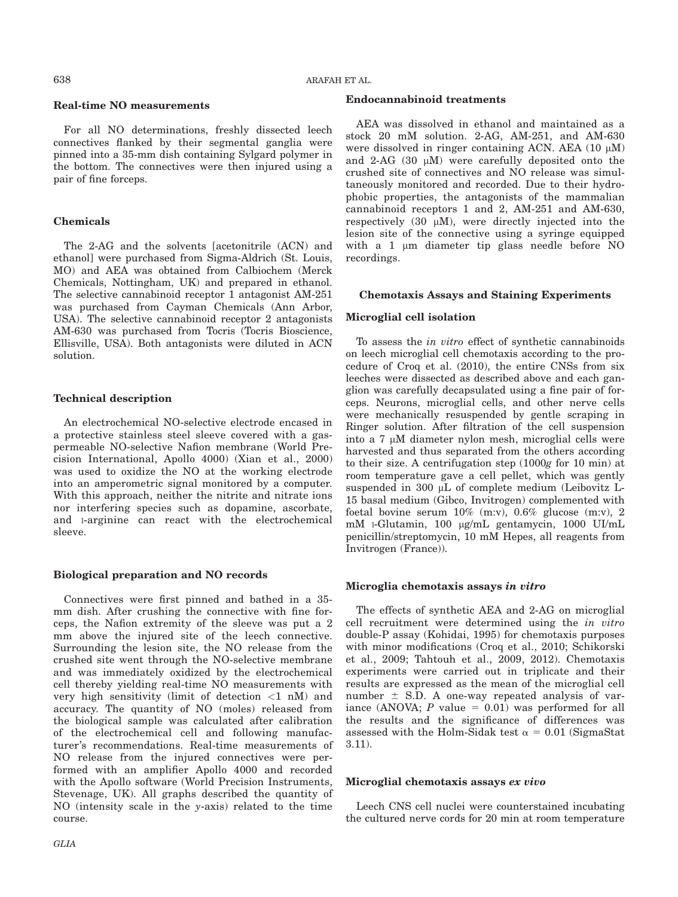## Real-time NO measurements

For all NO determinations, freshly dissected leech connectives flanked by their segmental ganglia were pinned into a 35-mm dish containing Sylgard polymer in the bottom. The connectives were then injured using a pair of fine forceps.

#### Chemicals

The 2-AG and the solvents [acetonitrile (ACN) and ethanol] were purchased from Sigma-Aldrich (St. Louis, MO) and AEA was obtained from Calbiochem (Merck Chemicals, Nottingham, UK) and prepared in ethanol. The selective cannabinoid receptor 1 antagonist AM-251 was purchased from Cayman Chemicals (Ann Arbor, USA). The selective cannabinoid receptor 2 antagonists AM-630 was purchased from Tocris (Tocris Bioscience, Ellisville, USA). Both antagonists were diluted in ACN solution.

#### Technical description

An electrochemical NO-selective electrode encased in a protective stainless steel sleeve covered with a gaspermeable NO-selective Nafion membrane (World Precision International, Apollo 4000) (Xian et al., 2000) was used to oxidize the NO at the working electrode into an amperometric signal monitored by a computer. With this approach, neither the nitrite and nitrate ions nor interfering species such as dopamine, ascorbate, and l-arginine can react with the electrochemical sleeve.

## Biological preparation and NO records

Connectives were first pinned and bathed in a 35 mm dish. After crushing the connective with fine forceps, the Nafion extremity of the sleeve was put a 2 mm above the injured site of the leech connective. Surrounding the lesion site, the NO release from the crushed site went through the NO-selective membrane and was immediately oxidized by the electrochemical cell thereby yielding real-time NO measurements with very high sensitivity (limit of detection  $\langle 1 \rangle$  nM) and accuracy. The quantity of NO (moles) released from the biological sample was calculated after calibration of the electrochemical cell and following manufacturer's recommendations. Real-time measurements of NO release from the injured connectives were performed with an amplifier Apollo 4000 and recorded with the Apollo software (World Precision Instruments, Stevenage, UK). All graphs described the quantity of NO (intensity scale in the y-axis) related to the time course.

#### Endocannabinoid treatments

AEA was dissolved in ethanol and maintained as a stock 20 mM solution. 2-AG, AM-251, and AM-630 were dissolved in ringer containing ACN. AEA  $(10 \mu M)$ and  $2-AG$  (30  $\mu$ M) were carefully deposited onto the crushed site of connectives and NO release was simultaneously monitored and recorded. Due to their hydrophobic properties, the antagonists of the mammalian cannabinoid receptors 1 and 2, AM-251 and AM-630, respectively (30  $\mu$ M), were directly injected into the lesion site of the connective using a syringe equipped with a  $1 \mu m$  diameter tip glass needle before NO recordings.

#### Chemotaxis Assays and Staining Experiments

## Microglial cell isolation

To assess the in vitro effect of synthetic cannabinoids on leech microglial cell chemotaxis according to the procedure of Croq et al. (2010), the entire CNSs from six leeches were dissected as described above and each ganglion was carefully decapsulated using a fine pair of forceps. Neurons, microglial cells, and other nerve cells were mechanically resuspended by gentle scraping in Ringer solution. After filtration of the cell suspension into a  $7 \mu M$  diameter nylon mesh, microglial cells were harvested and thus separated from the others according to their size. A centrifugation step (1000g for 10 min) at room temperature gave a cell pellet, which was gently suspended in 300 µL of complete medium (Leibovitz L-15 basal medium (Gibco, Invitrogen) complemented with foetal bovine serum 10% (m:v), 0.6% glucose (m:v), 2 mM 1-Glutamin, 100 µg/mL gentamycin, 1000 UI/mL penicillin/streptomycin, 10 mM Hepes, all reagents from Invitrogen (France)).

#### Microglia chemotaxis assays in vitro

The effects of synthetic AEA and 2-AG on microglial cell recruitment were determined using the in vitro double-P assay (Kohidai, 1995) for chemotaxis purposes with minor modifications (Croq et al., 2010; Schikorski et al., 2009; Tahtouh et al., 2009, 2012). Chemotaxis experiments were carried out in triplicate and their results are expressed as the mean of the microglial cell number  $\pm$  S.D. A one-way repeated analysis of variance (ANOVA;  $P$  value = 0.01) was performed for all the results and the significance of differences was assessed with the Holm-Sidak test  $\alpha = 0.01$  (SigmaStat 3.11).

#### Microglial chemotaxis assays ex vivo

Leech CNS cell nuclei were counterstained incubating the cultured nerve cords for 20 min at room temperature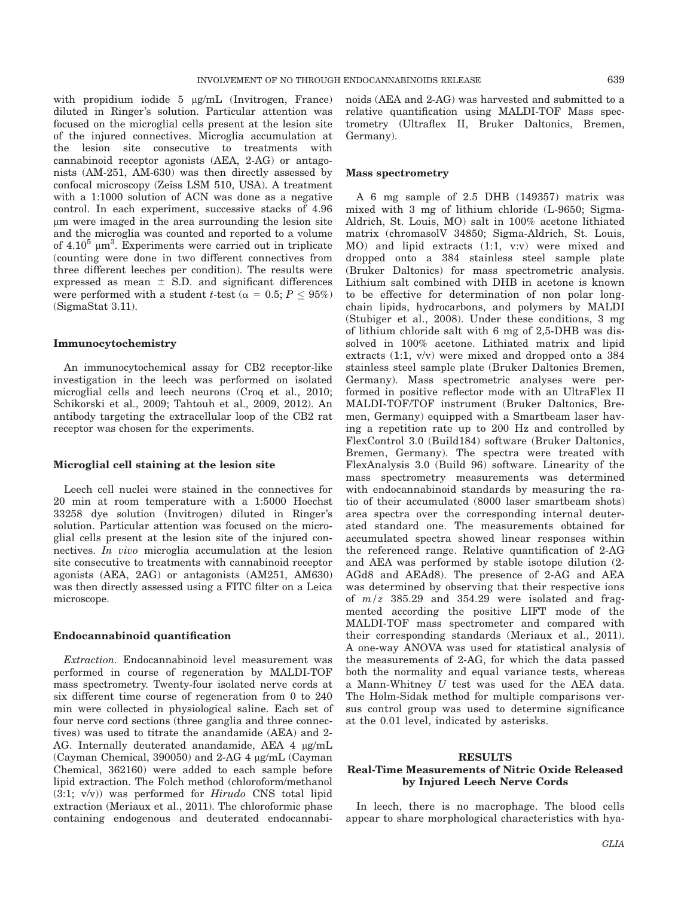with propidium iodide 5 µg/mL (Invitrogen, France) diluted in Ringer's solution. Particular attention was focused on the microglial cells present at the lesion site of the injured connectives. Microglia accumulation at the lesion site consecutive to treatments with cannabinoid receptor agonists (AEA, 2-AG) or antagonists (AM-251, AM-630) was then directly assessed by confocal microscopy (Zeiss LSM 510, USA). A treatment with a 1:1000 solution of ACN was done as a negative control. In each experiment, successive stacks of 4.96 lm were imaged in the area surrounding the lesion site and the microglia was counted and reported to a volume of  $4.10^5$   $\mu$ m<sup>3</sup>. Experiments were carried out in triplicate (counting were done in two different connectives from three different leeches per condition). The results were expressed as mean  $\pm$  S.D. and significant differences were performed with a student *t*-test ( $\alpha = 0.5; P \le 95\%$ ) (SigmaStat 3.11).

## Immunocytochemistry

An immunocytochemical assay for CB2 receptor-like investigation in the leech was performed on isolated microglial cells and leech neurons (Croq et al., 2010; Schikorski et al., 2009; Tahtouh et al., 2009, 2012). An antibody targeting the extracellular loop of the CB2 rat receptor was chosen for the experiments.

#### Microglial cell staining at the lesion site

Leech cell nuclei were stained in the connectives for 20 min at room temperature with a 1:5000 Hoechst 33258 dye solution (Invitrogen) diluted in Ringer's solution. Particular attention was focused on the microglial cells present at the lesion site of the injured connectives. In vivo microglia accumulation at the lesion site consecutive to treatments with cannabinoid receptor agonists (AEA, 2AG) or antagonists (AM251, AM630) was then directly assessed using a FITC filter on a Leica microscope.

## Endocannabinoid quantification

Extraction. Endocannabinoid level measurement was performed in course of regeneration by MALDI-TOF mass spectrometry. Twenty-four isolated nerve cords at six different time course of regeneration from 0 to 240 min were collected in physiological saline. Each set of four nerve cord sections (three ganglia and three connectives) was used to titrate the anandamide (AEA) and 2- AG. Internally deuterated anandamide, AEA 4 µg/mL (Cayman Chemical, 390050) and 2-AG 4 lg/mL (Cayman Chemical, 362160) were added to each sample before lipid extraction. The Folch method (chloroform/methanol  $(3:1; v/v)$  was performed for Hirudo CNS total lipid extraction (Meriaux et al., 2011). The chloroformic phase containing endogenous and deuterated endocannabinoids (AEA and 2-AG) was harvested and submitted to a relative quantification using MALDI-TOF Mass spectrometry (Ultraflex II, Bruker Daltonics, Bremen, Germany).

#### Mass spectrometry

A 6 mg sample of 2.5 DHB (149357) matrix was mixed with 3 mg of lithium chloride (L-9650; Sigma-Aldrich, St. Louis, MO) salt in 100% acetone lithiated matrix (chromasolV 34850; Sigma-Aldrich, St. Louis, MO) and lipid extracts (1:1, v:v) were mixed and dropped onto a 384 stainless steel sample plate (Bruker Daltonics) for mass spectrometric analysis. Lithium salt combined with DHB in acetone is known to be effective for determination of non polar longchain lipids, hydrocarbons, and polymers by MALDI (Stubiger et al., 2008). Under these conditions, 3 mg of lithium chloride salt with 6 mg of 2,5-DHB was dissolved in 100% acetone. Lithiated matrix and lipid extracts (1:1, v/v) were mixed and dropped onto a 384 stainless steel sample plate (Bruker Daltonics Bremen, Germany). Mass spectrometric analyses were performed in positive reflector mode with an UltraFlex II MALDI-TOF/TOF instrument (Bruker Daltonics, Bremen, Germany) equipped with a Smartbeam laser having a repetition rate up to 200 Hz and controlled by FlexControl 3.0 (Build184) software (Bruker Daltonics, Bremen, Germany). The spectra were treated with FlexAnalysis 3.0 (Build 96) software. Linearity of the mass spectrometry measurements was determined with endocannabinoid standards by measuring the ratio of their accumulated (8000 laser smartbeam shots) area spectra over the corresponding internal deuterated standard one. The measurements obtained for accumulated spectra showed linear responses within the referenced range. Relative quantification of 2-AG and AEA was performed by stable isotope dilution (2- AGd8 and AEAd8). The presence of 2-AG and AEA was determined by observing that their respective ions of  $m/z$  385.29 and 354.29 were isolated and fragmented according the positive LIFT mode of the MALDI-TOF mass spectrometer and compared with their corresponding standards (Meriaux et al., 2011). A one-way ANOVA was used for statistical analysis of the measurements of 2-AG, for which the data passed both the normality and equal variance tests, whereas a Mann-Whitney U test was used for the AEA data. The Holm-Sidak method for multiple comparisons versus control group was used to determine significance at the 0.01 level, indicated by asterisks.

#### RESULTS

# Real-Time Measurements of Nitric Oxide Released by Injured Leech Nerve Cords

In leech, there is no macrophage. The blood cells appear to share morphological characteristics with hya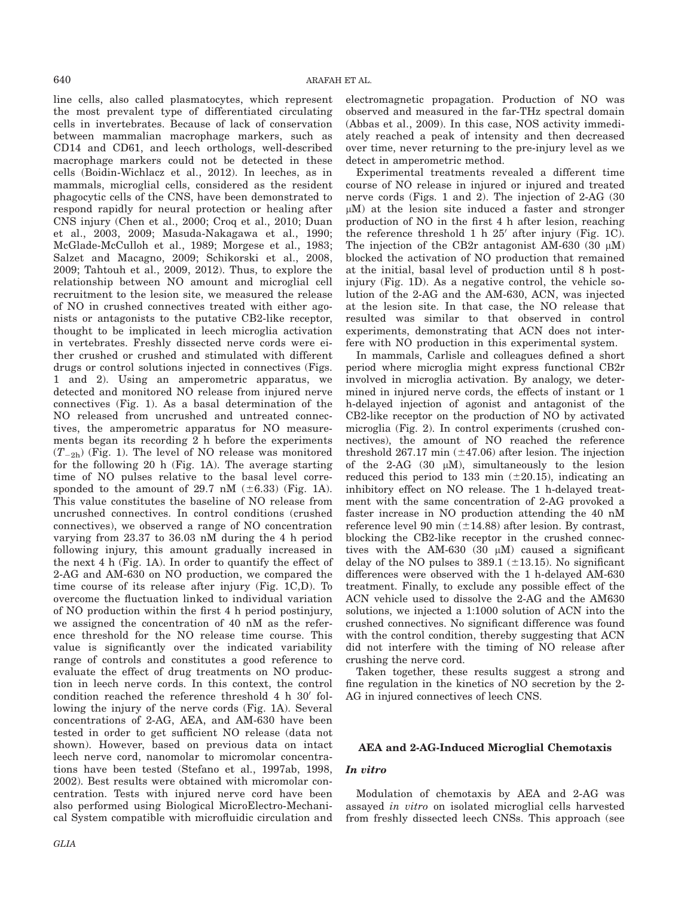line cells, also called plasmatocytes, which represent the most prevalent type of differentiated circulating cells in invertebrates. Because of lack of conservation between mammalian macrophage markers, such as CD14 and CD61, and leech orthologs, well-described macrophage markers could not be detected in these cells (Boidin-Wichlacz et al., 2012). In leeches, as in mammals, microglial cells, considered as the resident phagocytic cells of the CNS, have been demonstrated to respond rapidly for neural protection or healing after CNS injury (Chen et al., 2000; Croq et al., 2010; Duan et al., 2003, 2009; Masuda-Nakagawa et al., 1990; McGlade-McCulloh et al., 1989; Morgese et al., 1983; Salzet and Macagno, 2009; Schikorski et al., 2008, 2009; Tahtouh et al., 2009, 2012). Thus, to explore the relationship between NO amount and microglial cell recruitment to the lesion site, we measured the release of NO in crushed connectives treated with either agonists or antagonists to the putative CB2-like receptor, thought to be implicated in leech microglia activation in vertebrates. Freshly dissected nerve cords were either crushed or crushed and stimulated with different drugs or control solutions injected in connectives (Figs. 1 and 2). Using an amperometric apparatus, we detected and monitored NO release from injured nerve connectives (Fig. 1). As a basal determination of the NO released from uncrushed and untreated connectives, the amperometric apparatus for NO measurements began its recording 2 h before the experiments  $(T_{-2h})$  (Fig. 1). The level of NO release was monitored for the following 20 h (Fig. 1A). The average starting time of NO pulses relative to the basal level corresponded to the amount of 29.7 nM  $(\pm 6.33)$  (Fig. 1A). This value constitutes the baseline of NO release from uncrushed connectives. In control conditions (crushed connectives), we observed a range of NO concentration varying from 23.37 to 36.03 nM during the 4 h period following injury, this amount gradually increased in the next 4 h (Fig. 1A). In order to quantify the effect of 2-AG and AM-630 on NO production, we compared the time course of its release after injury (Fig. 1C,D). To overcome the fluctuation linked to individual variation of NO production within the first 4 h period postinjury, we assigned the concentration of 40 nM as the reference threshold for the NO release time course. This value is significantly over the indicated variability range of controls and constitutes a good reference to evaluate the effect of drug treatments on NO production in leech nerve cords. In this context, the control condition reached the reference threshold  $4 h 30'$  following the injury of the nerve cords (Fig. 1A). Several concentrations of 2-AG, AEA, and AM-630 have been tested in order to get sufficient NO release (data not shown). However, based on previous data on intact leech nerve cord, nanomolar to micromolar concentrations have been tested (Stefano et al., 1997ab, 1998, 2002). Best results were obtained with micromolar concentration. Tests with injured nerve cord have been also performed using Biological MicroElectro-Mechanical System compatible with microfluidic circulation and

GLIA

electromagnetic propagation. Production of NO was observed and measured in the far-THz spectral domain (Abbas et al., 2009). In this case, NOS activity immediately reached a peak of intensity and then decreased over time, never returning to the pre-injury level as we detect in amperometric method.

Experimental treatments revealed a different time course of NO release in injured or injured and treated nerve cords (Figs. 1 and 2). The injection of 2-AG (30  $\mu$ M) at the lesion site induced a faster and stronger production of NO in the first 4 h after lesion, reaching the reference threshold 1 h  $25'$  after injury (Fig. 1C). The injection of the CB2r antagonist AM-630 (30  $\mu$ M) blocked the activation of NO production that remained at the initial, basal level of production until 8 h postinjury (Fig. 1D). As a negative control, the vehicle solution of the 2-AG and the AM-630, ACN, was injected at the lesion site. In that case, the NO release that resulted was similar to that observed in control experiments, demonstrating that ACN does not interfere with NO production in this experimental system.

In mammals, Carlisle and colleagues defined a short period where microglia might express functional CB2r involved in microglia activation. By analogy, we determined in injured nerve cords, the effects of instant or 1 h-delayed injection of agonist and antagonist of the CB2-like receptor on the production of NO by activated microglia (Fig. 2). In control experiments (crushed connectives), the amount of NO reached the reference threshold 267.17 min  $(\pm 47.06)$  after lesion. The injection of the 2-AG  $(30 \mu M)$ , simultaneously to the lesion reduced this period to 133 min  $(\pm 20.15)$ , indicating an inhibitory effect on NO release. The 1 h-delayed treatment with the same concentration of 2-AG provoked a faster increase in NO production attending the 40 nM reference level 90 min  $(\pm 14.88)$  after lesion. By contrast, blocking the CB2-like receptor in the crushed connectives with the AM-630 (30  $\mu$ M) caused a significant delay of the NO pulses to  $389.1$  ( $\pm$ 13.15). No significant differences were observed with the 1 h-delayed AM-630 treatment. Finally, to exclude any possible effect of the ACN vehicle used to dissolve the 2-AG and the AM630 solutions, we injected a 1:1000 solution of ACN into the crushed connectives. No significant difference was found with the control condition, thereby suggesting that ACN did not interfere with the timing of NO release after crushing the nerve cord.

Taken together, these results suggest a strong and fine regulation in the kinetics of NO secretion by the 2- AG in injured connectives of leech CNS.

### AEA and 2-AG-Induced Microglial Chemotaxis

## In vitro

Modulation of chemotaxis by AEA and 2-AG was assayed in vitro on isolated microglial cells harvested from freshly dissected leech CNSs. This approach (see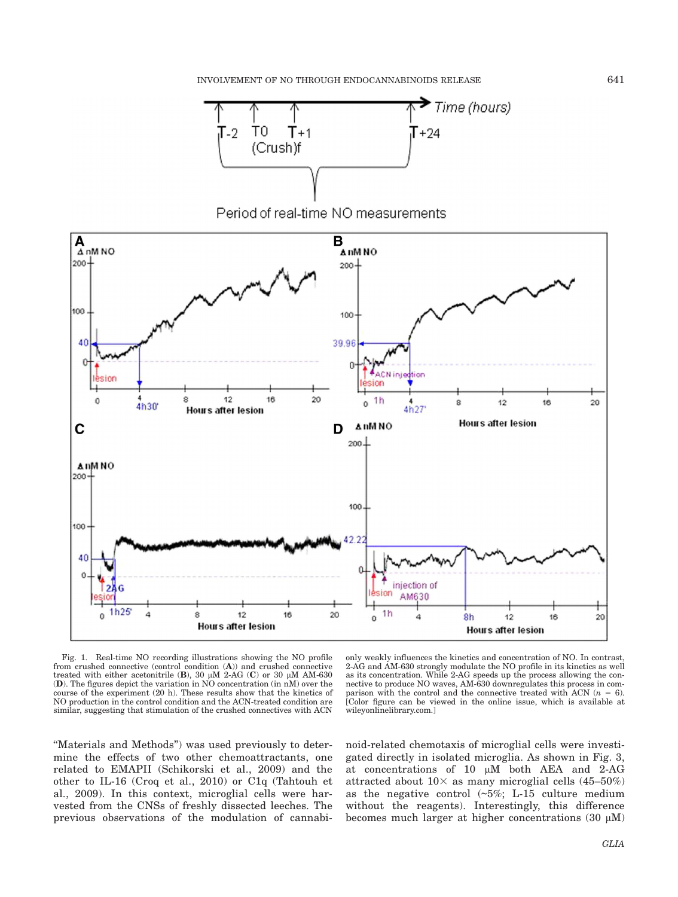

Period of real-time NO measurements



Fig. 1. Real-time NO recording illustrations showing the NO profile from crushed connective (control condition (A)) and crushed connective treated with either acetonitrile (B), 30  $\mu$ M 2-AG (C) or 30  $\mu$ M AM-630 (D). The figures depict the variation in NO concentration (in nM) over the course of the experiment (20 h). These results show that the kinetics of NO production in the control condition and the ACN-treated condition are similar, suggesting that stimulation of the crushed connectives with ACN

only weakly influences the kinetics and concentration of NO. In contrast, 2-AG and AM-630 strongly modulate the NO profile in its kinetics as well as its concentration. While 2-AG speeds up the process allowing the connective to produce NO waves, AM-630 downregulates this process in comparison with the control and the connective treated with ACN ( $n = 6$ ). [Color figure can be viewed in the online issue, which is available at wileyonlinelibrary.com.]

''Materials and Methods'') was used previously to determine the effects of two other chemoattractants, one related to EMAPII (Schikorski et al., 2009) and the other to IL-16 (Croq et al., 2010) or C1q (Tahtouh et al., 2009). In this context, microglial cells were harvested from the CNSs of freshly dissected leeches. The previous observations of the modulation of cannabinoid-related chemotaxis of microglial cells were investigated directly in isolated microglia. As shown in Fig. 3, at concentrations of 10 µM both AEA and 2-AG attracted about  $10\times$  as many microglial cells (45–50%) as the negative control  $(\sim 5\%; L-15$  culture medium without the reagents). Interestingly, this difference becomes much larger at higher concentrations (30  $\mu$ M)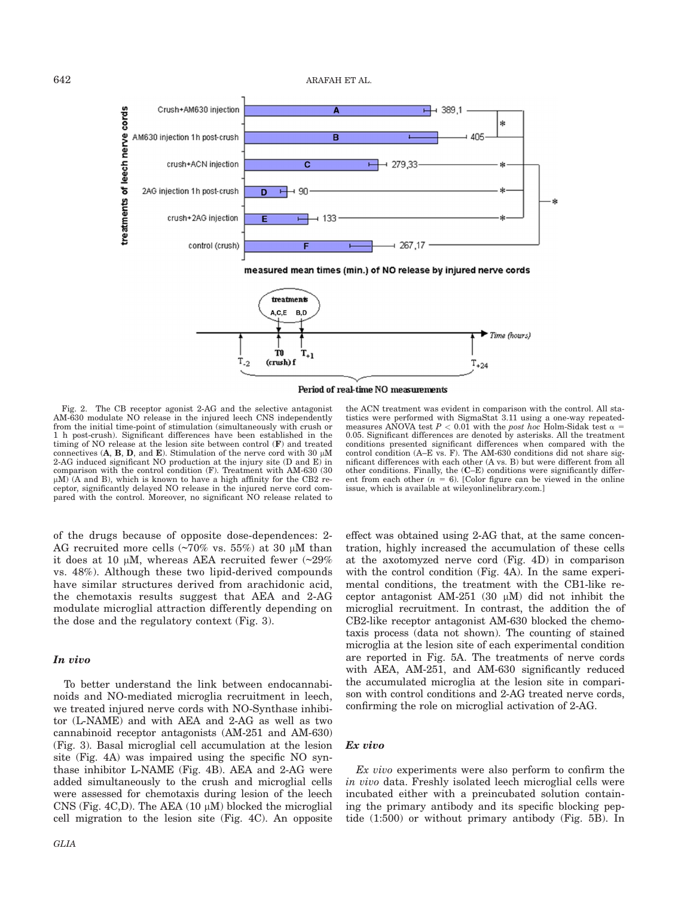642 ARAFAH ET AL.





Period of real-time NO measurements

Fig. 2. The CB receptor agonist 2-AG and the selective antagonist AM-630 modulate NO release in the injured leech CNS independently from the initial time-point of stimulation (simultaneously with crush or 1 h post-crush). Significant differences have been established in the timing of NO release at the lesion site between control (F) and treated connectives  $(A, B, D, \text{and } E)$ . Stimulation of the nerve cord with 30  $\mu$ M 2-AG induced significant NO production at the injury site (D and E) in comparison with the control condition (F). Treatment with AM-630 (30  $\mu$ M) (A and B), which is known to have a high affinity for the CB2 receptor, significantly delayed NO release in the injured nerve cord compared with the control. Moreover, no significant NO release related to

of the drugs because of opposite dose-dependences: 2- AG recruited more cells  $(\sim 70\%$  vs. 55%) at 30  $\mu$ M than it does at 10  $\mu$ M, whereas AEA recruited fewer (~29%) vs. 48%). Although these two lipid-derived compounds have similar structures derived from arachidonic acid, the chemotaxis results suggest that AEA and 2-AG modulate microglial attraction differently depending on the dose and the regulatory context (Fig. 3).

#### In vivo

To better understand the link between endocannabinoids and NO-mediated microglia recruitment in leech, we treated injured nerve cords with NO-Synthase inhibitor (L-NAME) and with AEA and 2-AG as well as two cannabinoid receptor antagonists (AM-251 and AM-630) (Fig. 3). Basal microglial cell accumulation at the lesion site (Fig. 4A) was impaired using the specific NO synthase inhibitor L-NAME (Fig. 4B). AEA and 2-AG were added simultaneously to the crush and microglial cells were assessed for chemotaxis during lesion of the leech CNS (Fig. 4C,D). The AEA  $(10 \mu M)$  blocked the microglial cell migration to the lesion site (Fig. 4C). An opposite

the ACN treatment was evident in comparison with the control. All statistics were performed with SigmaStat 3.11 using a one-way repeatedmeasures ANOVA test  $P < 0.01$  with the post hoc Holm-Sidak test  $\alpha =$ 0.05. Significant differences are denoted by asterisks. All the treatment conditions presented significant differences when compared with the control condition (A–E vs. F). The AM-630 conditions did not share significant differences with each other (A vs. B) but were different from all other conditions. Finally, the (C–E) conditions were significantly different from each other ( $n = 6$ ). [Color figure can be viewed in the online issue, which is available at wileyonlinelibrary.com.]

effect was obtained using 2-AG that, at the same concentration, highly increased the accumulation of these cells at the axotomyzed nerve cord (Fig. 4D) in comparison with the control condition (Fig. 4A). In the same experimental conditions, the treatment with the CB1-like receptor antagonist AM-251 (30  $\mu$ M) did not inhibit the microglial recruitment. In contrast, the addition the of CB2-like receptor antagonist AM-630 blocked the chemotaxis process (data not shown). The counting of stained microglia at the lesion site of each experimental condition are reported in Fig. 5A. The treatments of nerve cords with AEA, AM-251, and AM-630 significantly reduced the accumulated microglia at the lesion site in comparison with control conditions and 2-AG treated nerve cords, confirming the role on microglial activation of 2-AG.

#### Ex vivo

Ex vivo experiments were also perform to confirm the in vivo data. Freshly isolated leech microglial cells were incubated either with a preincubated solution containing the primary antibody and its specific blocking peptide (1:500) or without primary antibody (Fig. 5B). In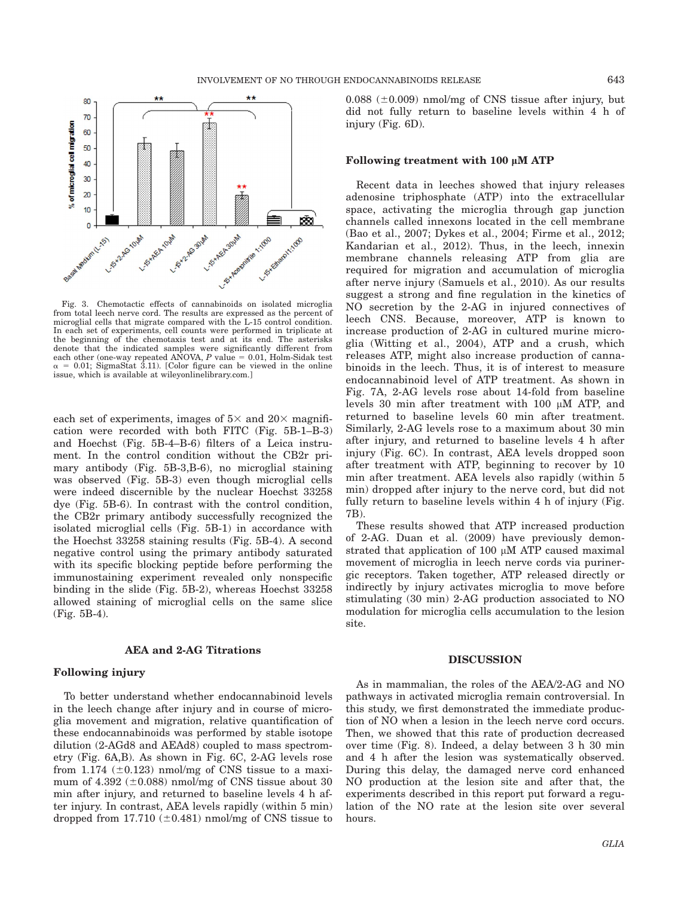

Fig. 3. Chemotactic effects of cannabinoids on isolated microglia from total leech nerve cord. The results are expressed as the percent of microglial cells that migrate compared with the L-15 control condition. In each set of experiments, cell counts were performed in triplicate at the beginning of the chemotaxis test and at its end. The asterisks denote that the indicated samples were significantly different from each other (one-way repeated ANOVA,  $P$  value = 0.01, Holm-Sidak test  $= 0.01$ ; SigmaStat 3.11). [Color figure can be viewed in the online issue, which is available at wileyonlinelibrary.com.]

each set of experiments, images of  $5\times$  and  $20\times$  magnification were recorded with both FITC (Fig. 5B-1–B-3) and Hoechst (Fig. 5B-4–B-6) filters of a Leica instrument. In the control condition without the CB2r primary antibody (Fig. 5B-3,B-6), no microglial staining was observed (Fig. 5B-3) even though microglial cells were indeed discernible by the nuclear Hoechst 33258 dye (Fig. 5B-6). In contrast with the control condition, the CB2r primary antibody successfully recognized the isolated microglial cells (Fig. 5B-1) in accordance with the Hoechst 33258 staining results (Fig. 5B-4). A second negative control using the primary antibody saturated with its specific blocking peptide before performing the immunostaining experiment revealed only nonspecific binding in the slide (Fig. 5B-2), whereas Hoechst 33258 allowed staining of microglial cells on the same slice (Fig. 5B-4).

# AEA and 2-AG Titrations

## Following injury

To better understand whether endocannabinoid levels in the leech change after injury and in course of microglia movement and migration, relative quantification of these endocannabinoids was performed by stable isotope dilution (2-AGd8 and AEAd8) coupled to mass spectrometry (Fig. 6A,B). As shown in Fig. 6C, 2-AG levels rose from 1.174  $(\pm 0.123)$  nmol/mg of CNS tissue to a maximum of 4.392 ( $\pm$ 0.088) nmol/mg of CNS tissue about 30 min after injury, and returned to baseline levels 4 h after injury. In contrast, AEA levels rapidly (within 5 min) dropped from 17.710  $(\pm 0.481)$  nmol/mg of CNS tissue to

 $0.088$  ( $\pm 0.009$ ) nmol/mg of CNS tissue after injury, but did not fully return to baseline levels within 4 h of injury (Fig. 6D).

#### Following treatment with 100 *l*M ATP

Recent data in leeches showed that injury releases adenosine triphosphate (ATP) into the extracellular space, activating the microglia through gap junction channels called innexons located in the cell membrane (Bao et al., 2007; Dykes et al., 2004; Firme et al., 2012; Kandarian et al., 2012). Thus, in the leech, innexin membrane channels releasing ATP from glia are required for migration and accumulation of microglia after nerve injury (Samuels et al., 2010). As our results suggest a strong and fine regulation in the kinetics of NO secretion by the 2-AG in injured connectives of leech CNS. Because, moreover, ATP is known to increase production of 2-AG in cultured murine microglia (Witting et al., 2004), ATP and a crush, which releases ATP, might also increase production of cannabinoids in the leech. Thus, it is of interest to measure endocannabinoid level of ATP treatment. As shown in Fig. 7A, 2-AG levels rose about 14-fold from baseline levels  $30$  min after treatment with  $100 \mu M$  ATP, and returned to baseline levels 60 min after treatment. Similarly, 2-AG levels rose to a maximum about 30 min after injury, and returned to baseline levels 4 h after injury (Fig. 6C). In contrast, AEA levels dropped soon after treatment with ATP, beginning to recover by 10 min after treatment. AEA levels also rapidly (within 5 min) dropped after injury to the nerve cord, but did not fully return to baseline levels within 4 h of injury (Fig. 7B).

These results showed that ATP increased production of 2-AG. Duan et al. (2009) have previously demonstrated that application of 100  $\mu$ M ATP caused maximal movement of microglia in leech nerve cords via purinergic receptors. Taken together, ATP released directly or indirectly by injury activates microglia to move before stimulating (30 min) 2-AG production associated to NO modulation for microglia cells accumulation to the lesion site.

#### DISCUSSION

As in mammalian, the roles of the AEA/2-AG and NO pathways in activated microglia remain controversial. In this study, we first demonstrated the immediate production of NO when a lesion in the leech nerve cord occurs. Then, we showed that this rate of production decreased over time (Fig. 8). Indeed, a delay between 3 h 30 min and 4 h after the lesion was systematically observed. During this delay, the damaged nerve cord enhanced NO production at the lesion site and after that, the experiments described in this report put forward a regulation of the NO rate at the lesion site over several hours.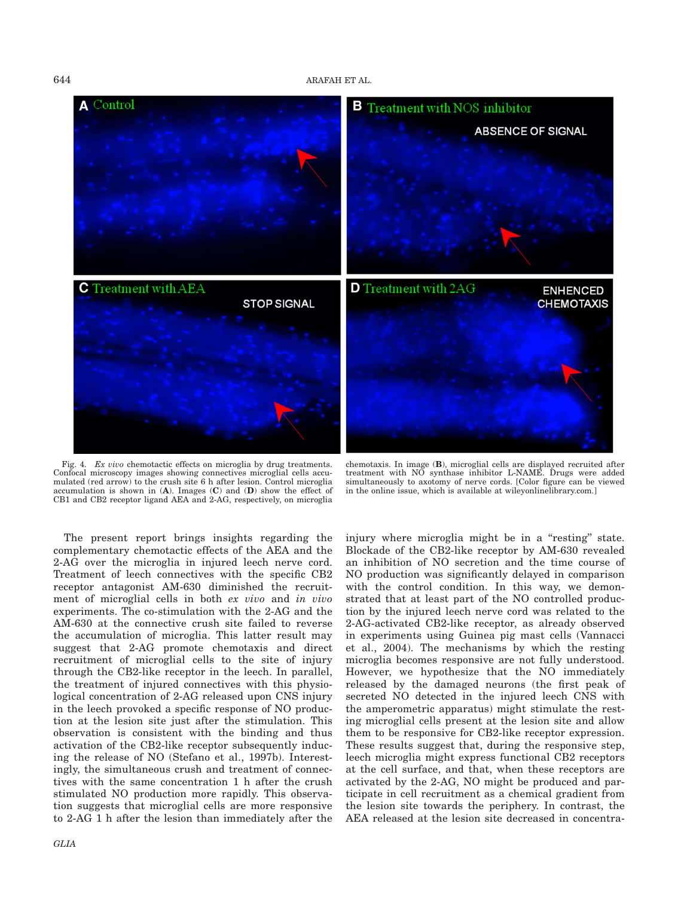

Fig. 4. Ex vivo chemotactic effects on microglia by drug treatments. Confocal microscopy images showing connectives microglial cells accumulated (red arrow) to the crush site 6 h after lesion. Control microglia accumulation is shown in  $(A)$ . Images  $(C)$  and  $(D)$  show the effect of CB1 and CB2 receptor ligand AEA and 2-AG, respectively, on microglia

chemotaxis. In image (B), microglial cells are displayed recruited after treatment with NO synthase inhibitor L-NAME. Drugs were added simultaneously to axotomy of nerve cords. [Color figure can be viewed in the online issue, which is available at wileyonlinelibrary.com.]

The present report brings insights regarding the complementary chemotactic effects of the AEA and the 2-AG over the microglia in injured leech nerve cord. Treatment of leech connectives with the specific CB2 receptor antagonist AM-630 diminished the recruitment of microglial cells in both ex vivo and in vivo experiments. The co-stimulation with the 2-AG and the AM-630 at the connective crush site failed to reverse the accumulation of microglia. This latter result may suggest that 2-AG promote chemotaxis and direct recruitment of microglial cells to the site of injury through the CB2-like receptor in the leech. In parallel, the treatment of injured connectives with this physiological concentration of 2-AG released upon CNS injury in the leech provoked a specific response of NO production at the lesion site just after the stimulation. This observation is consistent with the binding and thus activation of the CB2-like receptor subsequently inducing the release of NO (Stefano et al., 1997b). Interestingly, the simultaneous crush and treatment of connectives with the same concentration 1 h after the crush stimulated NO production more rapidly. This observation suggests that microglial cells are more responsive to 2-AG 1 h after the lesion than immediately after the

injury where microglia might be in a "resting" state. Blockade of the CB2-like receptor by AM-630 revealed an inhibition of NO secretion and the time course of NO production was significantly delayed in comparison with the control condition. In this way, we demonstrated that at least part of the NO controlled production by the injured leech nerve cord was related to the 2-AG-activated CB2-like receptor, as already observed in experiments using Guinea pig mast cells (Vannacci et al., 2004). The mechanisms by which the resting microglia becomes responsive are not fully understood. However, we hypothesize that the NO immediately released by the damaged neurons (the first peak of secreted NO detected in the injured leech CNS with the amperometric apparatus) might stimulate the resting microglial cells present at the lesion site and allow them to be responsive for CB2-like receptor expression. These results suggest that, during the responsive step, leech microglia might express functional CB2 receptors at the cell surface, and that, when these receptors are activated by the 2-AG, NO might be produced and participate in cell recruitment as a chemical gradient from the lesion site towards the periphery. In contrast, the AEA released at the lesion site decreased in concentra-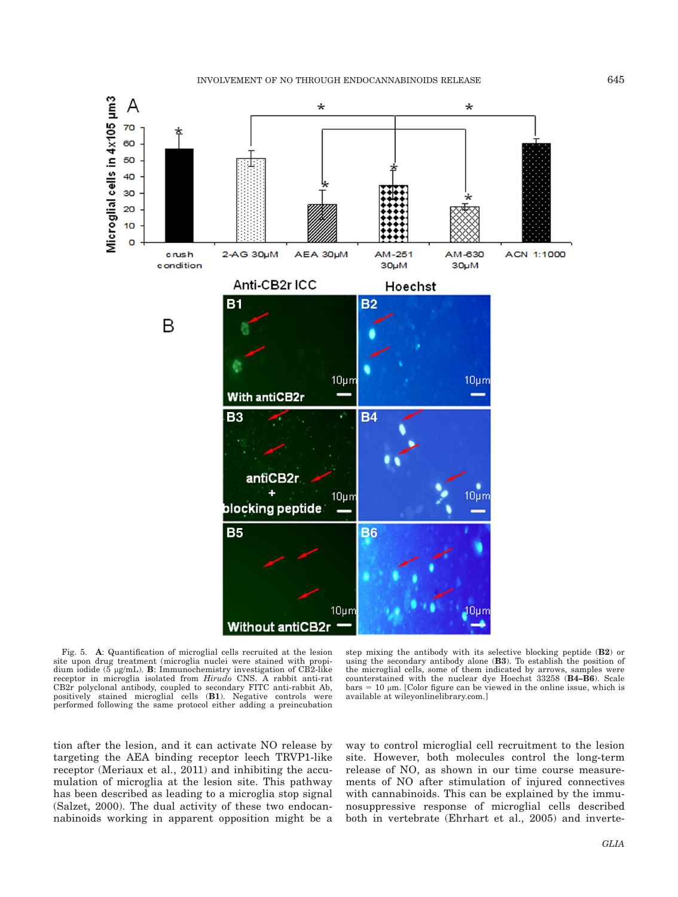

Fig. 5. A: Quantification of microglial cells recruited at the lesion site upon drug treatment (microglia nuclei were stained with propidium iodide ( $5 \mu g/mL$ ). B: Immunochemistry investigation of CB2-like receptor in microglia isolated from Hirudo CNS. A rabbit anti-rat CB2r polyclonal antibody, coupled to secondary FITC anti-rabbit Ab, positively stained microglial cells (B1). Negative controls were performed following the same protocol either adding a preincubation

step mixing the antibody with its selective blocking peptide (B2) or using the secondary antibody alone (B3). To establish the position of the microglial cells, some of them indicated by arrows, samples were counterstained with the nuclear dye Hoechst 33258 (B4–B6). Scale  $bars = 10 \mu m$ . [Color figure can be viewed in the online issue, which is available at wileyonlinelibrary.com.]

tion after the lesion, and it can activate NO release by targeting the AEA binding receptor leech TRVP1-like receptor (Meriaux et al., 2011) and inhibiting the accumulation of microglia at the lesion site. This pathway has been described as leading to a microglia stop signal (Salzet, 2000). The dual activity of these two endocannabinoids working in apparent opposition might be a way to control microglial cell recruitment to the lesion site. However, both molecules control the long-term release of NO, as shown in our time course measurements of NO after stimulation of injured connectives with cannabinoids. This can be explained by the immunosuppressive response of microglial cells described both in vertebrate (Ehrhart et al., 2005) and inverte-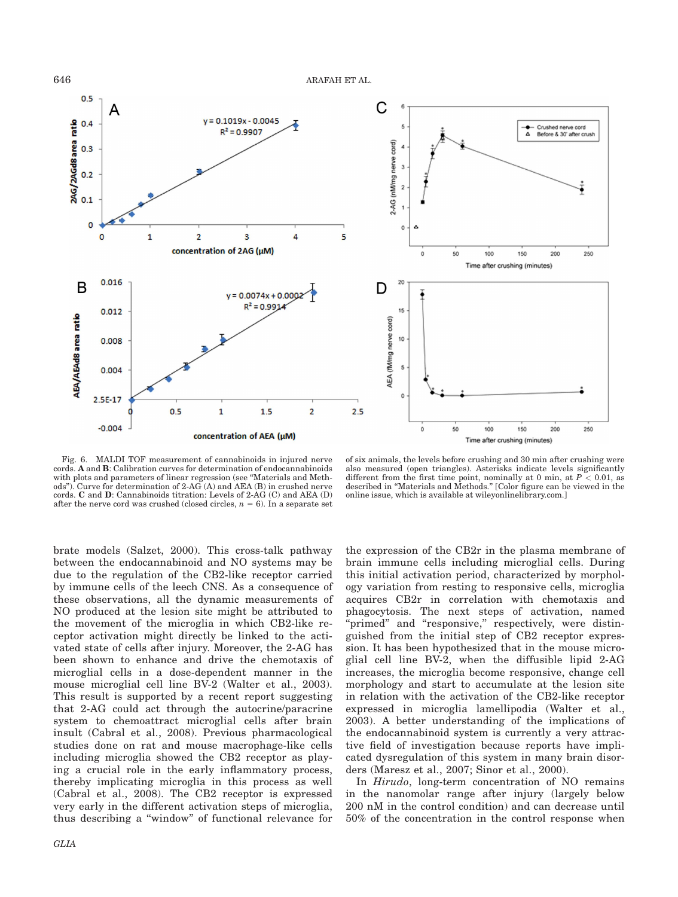



Fig. 6. MALDI TOF measurement of cannabinoids in injured nerve cords. A and B: Calibration curves for determination of endocannabinoids with plots and parameters of linear regression (see ''Materials and Methods"). Curve for determination of  $2-A\overline{G}(A)$  and AEA (B) in crushed nerve cords. C and D: Cannabinoids titration: Levels of 2-AG (C) and AEA (D) after the nerve cord was crushed (closed circles,  $n = 6$ ). In a separate set

of six animals, the levels before crushing and 30 min after crushing were also measured (open triangles). Asterisks indicate levels significantly different from the first time point, nominally at 0 min, at  $P < 0.01$ , as described in ''Materials and Methods.'' [Color figure can be viewed in the online issue, which is available at wileyonlinelibrary.com.]

brate models (Salzet, 2000). This cross-talk pathway between the endocannabinoid and NO systems may be due to the regulation of the CB2-like receptor carried by immune cells of the leech CNS. As a consequence of these observations, all the dynamic measurements of NO produced at the lesion site might be attributed to the movement of the microglia in which CB2-like receptor activation might directly be linked to the activated state of cells after injury. Moreover, the 2-AG has been shown to enhance and drive the chemotaxis of microglial cells in a dose-dependent manner in the mouse microglial cell line BV-2 (Walter et al., 2003). This result is supported by a recent report suggesting that 2-AG could act through the autocrine/paracrine system to chemoattract microglial cells after brain insult (Cabral et al., 2008). Previous pharmacological studies done on rat and mouse macrophage-like cells including microglia showed the CB2 receptor as playing a crucial role in the early inflammatory process, thereby implicating microglia in this process as well (Cabral et al., 2008). The CB2 receptor is expressed very early in the different activation steps of microglia, thus describing a ''window'' of functional relevance for the expression of the CB2r in the plasma membrane of brain immune cells including microglial cells. During this initial activation period, characterized by morphology variation from resting to responsive cells, microglia acquires CB2r in correlation with chemotaxis and phagocytosis. The next steps of activation, named 'primed" and "responsive," respectively, were distinguished from the initial step of CB2 receptor expression. It has been hypothesized that in the mouse microglial cell line BV-2, when the diffusible lipid 2-AG increases, the microglia become responsive, change cell morphology and start to accumulate at the lesion site in relation with the activation of the CB2-like receptor expressed in microglia lamellipodia (Walter et al., 2003). A better understanding of the implications of the endocannabinoid system is currently a very attractive field of investigation because reports have implicated dysregulation of this system in many brain disorders (Maresz et al., 2007; Sinor et al., 2000).

In Hirudo, long-term concentration of NO remains in the nanomolar range after injury (largely below 200 nM in the control condition) and can decrease until 50% of the concentration in the control response when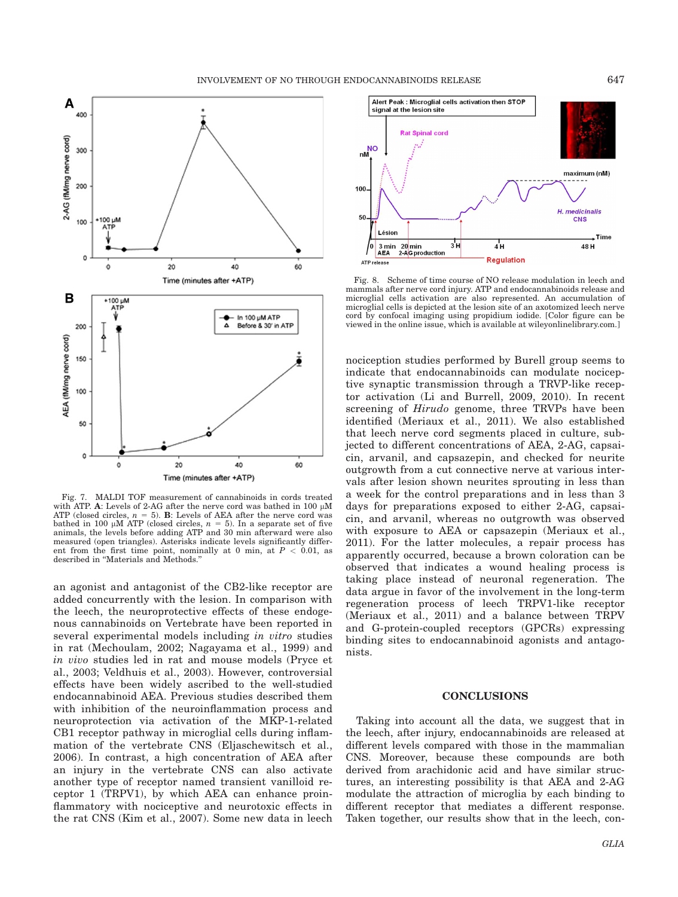

Fig. 7. MALDI TOF measurement of cannabinoids in cords treated with ATP. A: Levels of 2-AG after the nerve cord was bathed in 100  $\mu$ M ATP (closed circles,  $n = 5$ ). B: Levels of AEA after the nerve cord was bathed in 100  $\mu$ M ATP (closed circles,  $n = 5$ ). In a separate set of five animals, the levels before adding ATP and 30 min afterward were also measured (open triangles). Asterisks indicate levels significantly different from the first time point, nominally at 0 min, at  $P < 0.01$ , as described in ''Materials and Methods.''

an agonist and antagonist of the CB2-like receptor are added concurrently with the lesion. In comparison with the leech, the neuroprotective effects of these endogenous cannabinoids on Vertebrate have been reported in several experimental models including in vitro studies in rat (Mechoulam, 2002; Nagayama et al., 1999) and in vivo studies led in rat and mouse models (Pryce et al., 2003; Veldhuis et al., 2003). However, controversial effects have been widely ascribed to the well-studied endocannabinoid AEA. Previous studies described them with inhibition of the neuroinflammation process and neuroprotection via activation of the MKP-1-related CB1 receptor pathway in microglial cells during inflammation of the vertebrate CNS (Eljaschewitsch et al., 2006). In contrast, a high concentration of AEA after an injury in the vertebrate CNS can also activate another type of receptor named transient vanilloid receptor 1 (TRPV1), by which AEA can enhance proinflammatory with nociceptive and neurotoxic effects in the rat CNS (Kim et al., 2007). Some new data in leech



Fig. 8. Scheme of time course of NO release modulation in leech and mammals after nerve cord injury. ATP and endocannabinoids release and microglial cells activation are also represented. An accumulation of microglial cells is depicted at the lesion site of an axotomized leech nerve cord by confocal imaging using propidium iodide. [Color figure can be viewed in the online issue, which is available at wileyonlinelibrary.com.]

nociception studies performed by Burell group seems to indicate that endocannabinoids can modulate nociceptive synaptic transmission through a TRVP-like receptor activation (Li and Burrell, 2009, 2010). In recent screening of *Hirudo* genome, three TRVPs have been identified (Meriaux et al., 2011). We also established that leech nerve cord segments placed in culture, subjected to different concentrations of AEA, 2-AG, capsaicin, arvanil, and capsazepin, and checked for neurite outgrowth from a cut connective nerve at various intervals after lesion shown neurites sprouting in less than a week for the control preparations and in less than 3 days for preparations exposed to either 2-AG, capsaicin, and arvanil, whereas no outgrowth was observed with exposure to AEA or capsazepin (Meriaux et al., 2011). For the latter molecules, a repair process has apparently occurred, because a brown coloration can be observed that indicates a wound healing process is taking place instead of neuronal regeneration. The data argue in favor of the involvement in the long-term regeneration process of leech TRPV1-like receptor (Meriaux et al., 2011) and a balance between TRPV and G-protein-coupled receptors (GPCRs) expressing binding sites to endocannabinoid agonists and antagonists.

#### CONCLUSIONS

Taking into account all the data, we suggest that in the leech, after injury, endocannabinoids are released at different levels compared with those in the mammalian CNS. Moreover, because these compounds are both derived from arachidonic acid and have similar structures, an interesting possibility is that AEA and 2-AG modulate the attraction of microglia by each binding to different receptor that mediates a different response. Taken together, our results show that in the leech, con-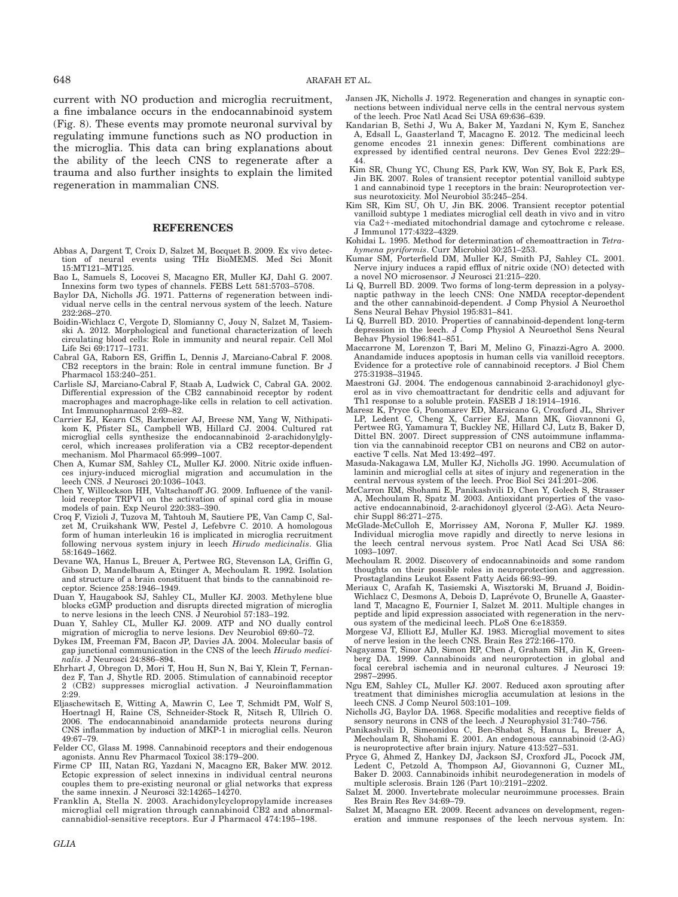current with NO production and microglia recruitment, a fine imbalance occurs in the endocannabinoid system (Fig. 8). These events may promote neuronal survival by regulating immune functions such as NO production in the microglia. This data can bring explanations about the ability of the leech CNS to regenerate after a trauma and also further insights to explain the limited regeneration in mammalian CNS.

## REFERENCES

- Abbas A, Dargent T, Croix D, Salzet M, Bocquet B. 2009. Ex vivo detection of neural events using THz BioMEMS. Med Sci Monit 15:MT121–MT125.
- Bao L, Samuels S, Locovei S, Macagno ER, Muller KJ, Dahl G. 2007. Innexins form two types of channels. FEBS Lett 581:5703–5708.
- Baylor DA, Nicholls JG. 1971. Patterns of regeneration between individual nerve cells in the central nervous system of the leech. Nature 232:268–270.
- Boidin-Wichlacz C, Vergote D, Slomianny C, Jouy N, Salzet M, Tasiemski A. 2012. Morphological and functional characterization of leech circulating blood cells: Role in immunity and neural repair. Cell Mol Life Sci 69:1717–1731.
- Cabral GA, Raborn ES, Griffin L, Dennis J, Marciano-Cabral F. 2008. CB2 receptors in the brain: Role in central immune function. Br J Pharmacol 153:240–251.
- Carlisle SJ, Marciano-Cabral F, Staab A, Ludwick C, Cabral GA. 2002. Differential expression of the CB2 cannabinoid receptor by rodent macrophages and macrophage-like cells in relation to cell activation. Int Immunopharmacol 2:69–82.
- Carrier EJ, Kearn CS, Barkmeier AJ, Breese NM, Yang W, Nithipati-kom K, Pfister SL, Campbell WB, Hillard CJ. 2004. Cultured rat microglial cells synthesize the endocannabinoid 2-arachidonylglycerol, which increases proliferation via a CB2 receptor-dependent mechanism. Mol Pharmacol 65:999–1007.
- Chen A, Kumar SM, Sahley CL, Muller KJ. 2000. Nitric oxide influences injury-induced microglial migration and accumulation in the leech CNS. J Neurosci 20:1036–1043.
- Chen Y, Willcockson HH, Valtschanoff JG. 2009. Influence of the vanilloid receptor TRPV1 on the activation of spinal cord glia in mouse models of pain. Exp Neurol 220:383–390.
- Croq F, Vizioli J, Tuzova M, Tahtouh M, Sautiere PE, Van Camp C, Salzet M, Cruikshank WW, Pestel J, Lefebvre C. 2010. A homologous form of human interleukin 16 is implicated in microglia recruitment following nervous system injury in leech Hirudo medicinalis. Glia 58:1649–1662.
- Devane WA, Hanus L, Breuer A, Pertwee RG, Stevenson LA, Griffin G, Gibson D, Mandelbaum A, Etinger A, Mechoulam R. 1992. Isolation and structure of a brain constituent that binds to the cannabinoid receptor. Science 258:1946–1949.
- Duan Y, Haugabook SJ, Sahley CL, Muller KJ. 2003. Methylene blue blocks cGMP production and disrupts directed migration of microglia to nerve lesions in the leech CNS. J Neurobiol 57:183–192.
- Duan Y, Sahley CL, Muller KJ. 2009. ATP and NO dually control migration of microglia to nerve lesions. Dev Neurobiol 69:60–72.
- Dykes IM, Freeman FM, Bacon JP, Davies JA. 2004. Molecular basis of gap junctional communication in the CNS of the leech Hirudo medicinalis. J Neurosci 24:886–894.
- Ehrhart J, Obregon D, Mori T, Hou H, Sun N, Bai Y, Klein T, Fernandez F, Tan J, Shytle RD. 2005. Stimulation of cannabinoid receptor 2 (CB2) suppresses microglial activation. J Neuroinflammation 2:29.
- Eljaschewitsch E, Witting A, Mawrin C, Lee T, Schmidt PM, Wolf S, Hoertnagl H, Raine CS, Schneider-Stock R, Nitsch R, Ullrich O. 2006. The endocannabinoid anandamide protects neurons during CNS inflammation by induction of MKP-1 in microglial cells. Neuron 49:67–79.
- Felder CC, Glass M. 1998. Cannabinoid receptors and their endogenous agonists. Annu Rev Pharmacol Toxicol 38:179–200.
- Firme CP III, Natan RG, Yazdani N, Macagno ER, Baker MW. 2012. Ectopic expression of select innexins in individual central neurons couples them to pre-existing neuronal or glial networks that express the same innexin. J Neurosci 32:14265–14270.
- Franklin A, Stella N. 2003. Arachidonylcyclopropylamide increases microglial cell migration through cannabinoid CB2 and abnormalcannabidiol-sensitive receptors. Eur J Pharmacol 474:195–198.
- Jansen JK, Nicholls J. 1972. Regeneration and changes in synaptic connections between individual nerve cells in the central nervous system of the leech. Proc Natl Acad Sci USA 69:636–639.
- Kandarian B, Sethi J, Wu A, Baker M, Yazdani N, Kym E, Sanchez A, Edsall L, Gaasterland T, Macagno E. 2012. The medicinal leech genome encodes 21 innexin genes: Different combinations are expressed by identified central neurons. Dev Genes Evol 222:29– 44.
- Kim SR, Chung YC, Chung ES, Park KW, Won SY, Bok E, Park ES, Jin BK. 2007. Roles of transient receptor potential vanilloid subtype 1 and cannabinoid type 1 receptors in the brain: Neuroprotection versus neurotoxicity. Mol Neurobiol 35:245–254.
- Kim SR, Kim SU, Oh U, Jin BK. 2006. Transient receptor potential vanilloid subtype 1 mediates microglial cell death in vivo and in vitro via Ca2+-mediated mitochondrial damage and cytochrome c release. J Immunol 177:4322–4329.
- Kohidai L. 1995. Method for determination of chemoattraction in Tetrahymena pyriformis. Curr Microbiol 30:251–253.
- Kumar SM, Porterfield DM, Muller KJ, Smith PJ, Sahley CL. 2001. Nerve injury induces a rapid efflux of nitric oxide (NO) detected with a novel NO microsensor. J Neurosci 21:215–220.
- Li Q, Burrell BD. 2009. Two forms of long-term depression in a polysynaptic pathway in the leech CNS: One NMDA receptor-dependent and the other cannabinoid-dependent. J Comp Physiol A Neuroethol Sens Neural Behav Physiol 195:831–841.
- Li Q, Burrell BD. 2010. Properties of cannabinoid-dependent long-term depression in the leech. J Comp Physiol A Neuroethol Sens Neural Behav Physiol 196:841–851.
- Maccarrone M, Lorenzon T, Bari M, Melino G, Finazzi-Agro A. 2000. Anandamide induces apoptosis in human cells via vanilloid receptors. Evidence for a protective role of cannabinoid receptors. J Biol Chem 275:31938–31945.
- Maestroni GJ. 2004. The endogenous cannabinoid 2-arachidonoyl glycerol as in vivo chemoattractant for dendritic cells and adjuvant for Th1 response to a soluble protein. FASEB J 18:1914–1916.
- Maresz K, Pryce G, Ponomarev ED, Marsicano G, Croxford JL, Shriver LP, Ledent C, Cheng X, Carrier EJ, Mann MK, Giovannoni G, Pertwee RG, Yamamura T, Buckley NE, Hillard CJ, Lutz B, Baker D, Dittel BN. 2007. Direct suppression of CNS autoimmune inflammation via the cannabinoid receptor CB1 on neurons and CB2 on autoreactive T cells. Nat Med 13:492–497.
- Masuda-Nakagawa LM, Muller KJ, Nicholls JG. 1990. Accumulation of laminin and microglial cells at sites of injury and regeneration in the central nervous system of the leech. Proc Biol Sci 241:201–206.
- McCarron RM, Shohami E, Panikashvili D, Chen Y, Golech S, Strasser A, Mechoulam R, Spatz M. 2003. Antioxidant properties of the vasoactive endocannabinoid, 2-arachidonoyl glycerol (2-AG). Acta Neurochir Suppl 86:271–275.
- McGlade-McCulloh E, Morrissey AM, Norona F, Muller KJ. 1989. Individual microglia move rapidly and directly to nerve lesions in the leech central nervous system. Proc Natl Acad Sci USA 86: 1093–1097.
- Mechoulam R. 2002. Discovery of endocannabinoids and some random thoughts on their possible roles in neuroprotection and aggression. Prostaglandins Leukot Essent Fatty Acids 66:93–99.
- Meriaux C, Arafah K, Tasiemski A, Wisztorski M, Bruand J, Boidin-Wichlacz C, Desmons A, Debois D, Laprevote O, Brunelle A, Gaasterland T, Macagno E, Fournier I, Salzet M. 2011. Multiple changes in peptide and lipid expression associated with regeneration in the nervous system of the medicinal leech. PLoS One 6:e18359.
- Morgese VJ, Elliott EJ, Muller KJ. 1983. Microglial movement to sites of nerve lesion in the leech CNS. Brain Res 272:166–170.
- Nagayama T, Sinor AD, Simon RP, Chen J, Graham SH, Jin K, Greenberg DA. 1999. Cannabinoids and neuroprotection in global and focal cerebral ischemia and in neuronal cultures. J Neurosci 19: 2987–2995.
- Ngu EM, Sahley CL, Muller KJ. 2007. Reduced axon sprouting after treatment that diminishes microglia accumulation at lesions in the leech CNS. J Comp Neurol 503:101-109.
- Nicholls JG, Baylor DA. 1968. Specific modalities and receptive fields of sensory neurons in CNS of the leech. J Neurophysiol 31:740–756.
- Panikashvili D, Simeonidou C, Ben-Shabat S, Hanus L, Breuer A, Mechoulam R, Shohami E. 2001. An endogenous cannabinoid (2-AG) is neuroprotective after brain injury. Nature 413:527–531.
- Pryce G, Ahmed Z, Hankey DJ, Jackson SJ, Croxford JL, Pocock JM, Ledent C, Petzold A, Thompson AJ, Giovannoni G, Cuzner ML, Baker D. 2003. Cannabinoids inhibit neurodegeneration in models of multiple sclerosis. Brain 126 (Part 10):2191–2202.
- Salzet M. 2000. Invertebrate molecular neuroimmune processes. Brain Res Brain Res Rev 34:69–79.
- Salzet M, Macagno ER. 2009. Recent advances on development, regeneration and immune responses of the leech nervous system. In: